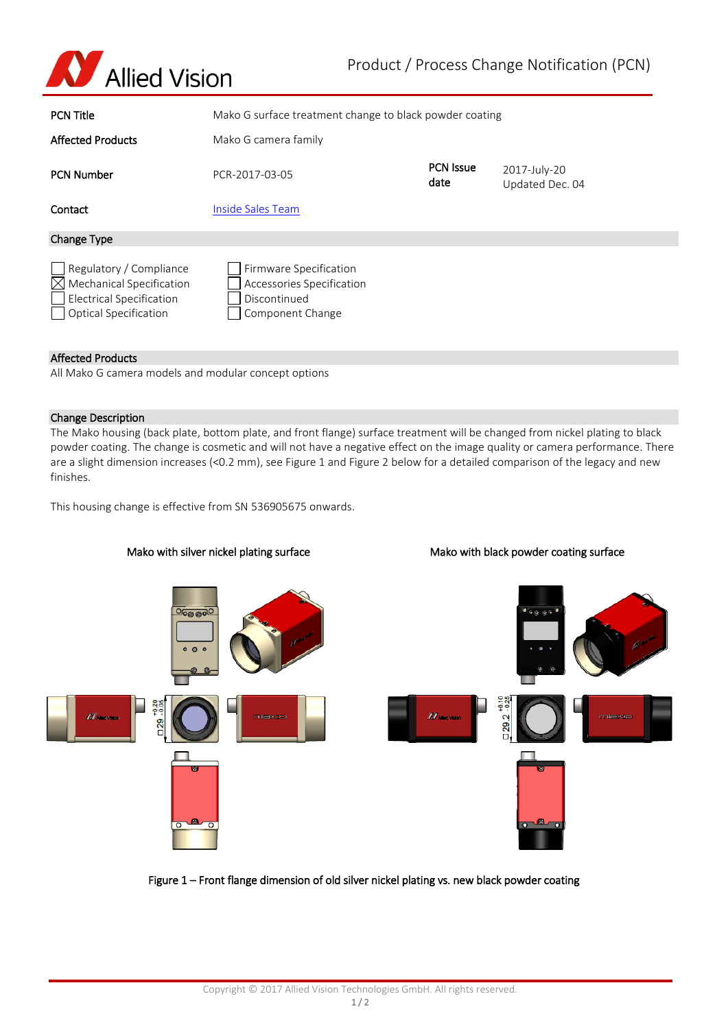

| <b>PCN Title</b>                                                                                                                   | Mako G surface treatment change to black powder coating                                 |                          |                                 |
|------------------------------------------------------------------------------------------------------------------------------------|-----------------------------------------------------------------------------------------|--------------------------|---------------------------------|
| <b>Affected Products</b>                                                                                                           | Mako G camera family                                                                    |                          |                                 |
| <b>PCN Number</b>                                                                                                                  | PCR-2017-03-05                                                                          | <b>PCN Issue</b><br>date | 2017-July-20<br>Updated Dec. 04 |
| Contact                                                                                                                            | Inside Sales Team                                                                       |                          |                                 |
| <b>Change Type</b>                                                                                                                 |                                                                                         |                          |                                 |
| Regulatory / Compliance<br><b>Mechanical Specification</b><br>M<br><b>Electrical Specification</b><br><b>Optical Specification</b> | Firmware Specification<br>Accessories Specification<br>Discontinued<br>Component Change |                          |                                 |

## Affected Products

All Mako G camera models and modular concept options

#### Change Description

The Mako housing (back plate, bottom plate, and front flange) surface treatment will be changed from nickel plating to black powder coating. The change is cosmetic and will not have a negative effect on the image quality or camera performance. There are a slight dimension increases (<0.2 mm), see Figure 1 and Figure 2 below for a detailed comparison of the legacy and new finishes.

This housing change is effective from SN 536905675 onwards.